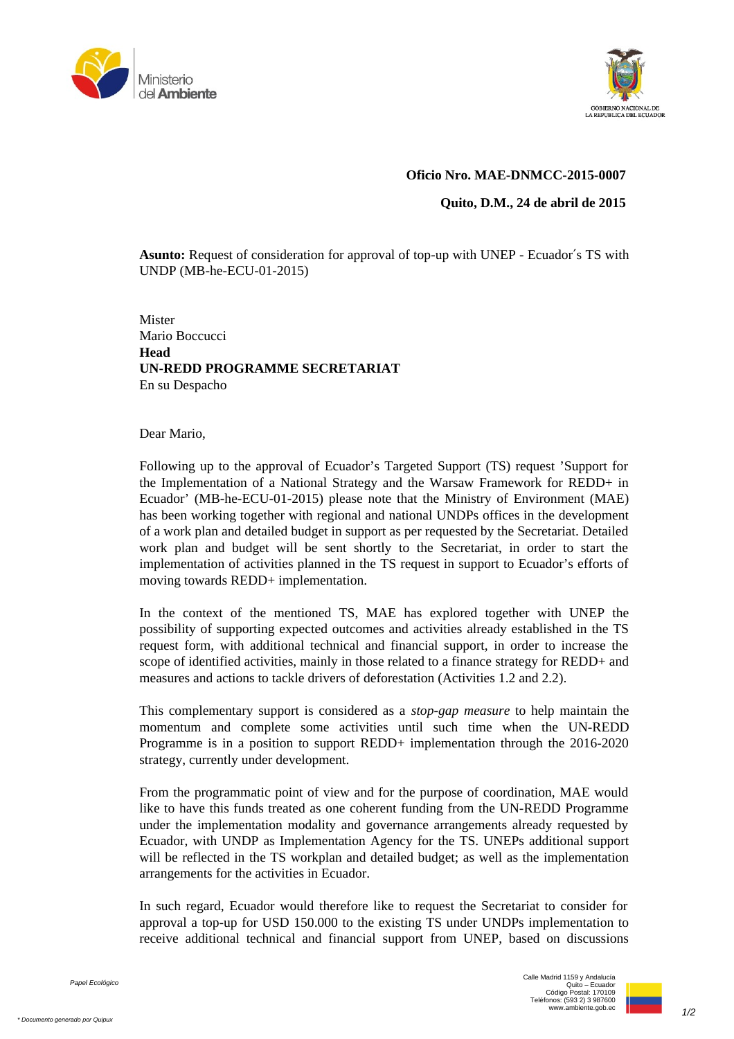



## **Oficio Nro. MAE-DNMCC-2015-0007**

**Quito, D.M., 24 de abril de 2015**

**Asunto:** Request of consideration for approval of top-up with UNEP - Ecuador′s TS with UNDP (MB-he-ECU-01-2015)

**Mister** Mario Boccucci **Head UN-REDD PROGRAMME SECRETARIAT** En su Despacho

Dear Mario,

Following up to the approval of Ecuador's Targeted Support (TS) request 'Support for the Implementation of a National Strategy and the Warsaw Framework for REDD+ in Ecuador' (MB-he-ECU-01-2015) please note that the Ministry of Environment (MAE) has been working together with regional and national UNDPs offices in the development of a work plan and detailed budget in support as per requested by the Secretariat. Detailed work plan and budget will be sent shortly to the Secretariat, in order to start the implementation of activities planned in the TS request in support to Ecuador's efforts of moving towards REDD+ implementation.

In the context of the mentioned TS, MAE has explored together with UNEP the possibility of supporting expected outcomes and activities already established in the TS request form, with additional technical and financial support, in order to increase the scope of identified activities, mainly in those related to a finance strategy for REDD+ and measures and actions to tackle drivers of deforestation (Activities 1.2 and 2.2).

This complementary support is considered as a *stop-gap measure* to help maintain the momentum and complete some activities until such time when the UN-REDD Programme is in a position to support REDD+ implementation through the 2016-2020 strategy, currently under development.

From the programmatic point of view and for the purpose of coordination, MAE would like to have this funds treated as one coherent funding from the UN-REDD Programme under the implementation modality and governance arrangements already requested by Ecuador, with UNDP as Implementation Agency for the TS. UNEPs additional support will be reflected in the TS workplan and detailed budget; as well as the implementation arrangements for the activities in Ecuador.

In such regard, Ecuador would therefore like to request the Secretariat to consider for approval a top-up for USD 150.000 to the existing TS under UNDPs implementation to receive additional technical and financial support from UNEP, based on discussions